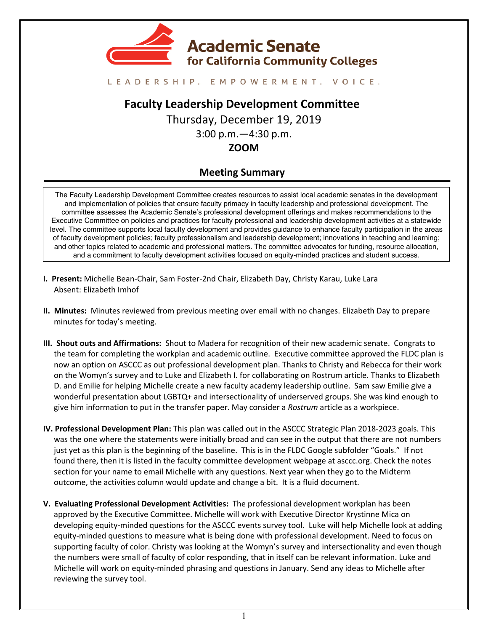

#### LEADERSHIP. EMPOWERMENT. VOICE.

# **Faculty Leadership Development Committee**

Thursday, December 19, 2019 3:00 p.m.—4:30 p.m.

## **ZOOM**

## **Meeting Summary**

The Faculty Leadership Development Committee creates resources to assist local academic senates in the development and implementation of policies that ensure faculty primacy in faculty leadership and professional development. The committee assesses the Academic Senate's professional development offerings and makes recommendations to the Executive Committee on policies and practices for faculty professional and leadership development activities at a statewide level. The committee supports local faculty development and provides guidance to enhance faculty participation in the areas of faculty development policies; faculty professionalism and leadership development; innovations in teaching and learning; and other topics related to academic and professional matters. The committee advocates for funding, resource allocation, and a commitment to faculty development activities focused on equity-minded practices and student success.

- **I. Present:** Michelle Bean-Chair, Sam Foster-2nd Chair, Elizabeth Day, Christy Karau, Luke Lara Absent: Elizabeth Imhof
- **II. Minutes:** Minutes reviewed from previous meeting over email with no changes. Elizabeth Day to prepare minutes for today's meeting.
- **III. Shout outs and Affirmations:** Shout to Madera for recognition of their new academic senate. Congrats to the team for completing the workplan and academic outline. Executive committee approved the FLDC plan is now an option on ASCCC as out professional development plan. Thanks to Christy and Rebecca for their work on the Womyn's survey and to Luke and Elizabeth I. for collaborating on Rostrum article. Thanks to Elizabeth D. and Emilie for helping Michelle create a new faculty academy leadership outline. Sam saw Emilie give a wonderful presentation about LGBTQ+ and intersectionality of underserved groups. She was kind enough to give him information to put in the transfer paper. May consider a *Rostrum* article as a workpiece.
- **IV. Professional Development Plan:** This plan was called out in the ASCCC Strategic Plan 2018-2023 goals. This was the one where the statements were initially broad and can see in the output that there are not numbers just yet as this plan is the beginning of the baseline. This is in the FLDC Google subfolder "Goals." If not found there, then it is listed in the faculty committee development webpage at asccc.org. Check the notes section for your name to email Michelle with any questions. Next year when they go to the Midterm outcome, the activities column would update and change a bit. It is a fluid document.
- **V. Evaluating Professional Development Activities:** The professional development workplan has been approved by the Executive Committee. Michelle will work with Executive Director Krystinne Mica on developing equity-minded questions for the ASCCC events survey tool. Luke will help Michelle look at adding equity-minded questions to measure what is being done with professional development. Need to focus on supporting faculty of color. Christy was looking at the Womyn's survey and intersectionality and even though the numbers were small of faculty of color responding, that in itself can be relevant information. Luke and Michelle will work on equity-minded phrasing and questions in January. Send any ideas to Michelle after reviewing the survey tool.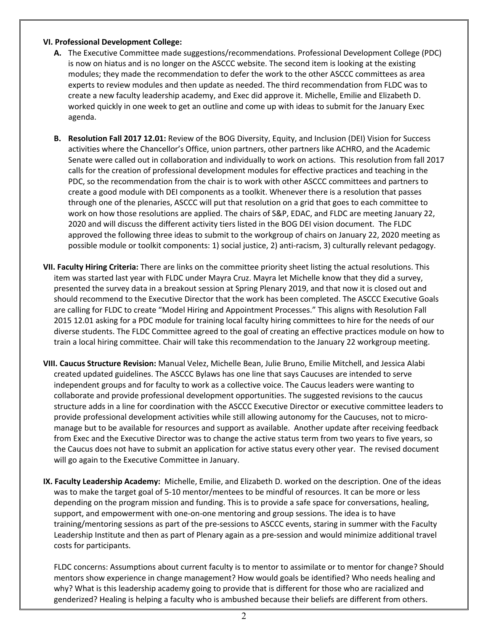#### **VI. Professional Development College:**

- **A.** The Executive Committee made suggestions/recommendations. Professional Development College (PDC) is now on hiatus and is no longer on the ASCCC website. The second item is looking at the existing modules; they made the recommendation to defer the work to the other ASCCC committees as area experts to review modules and then update as needed. The third recommendation from FLDC was to create a new faculty leadership academy, and Exec did approve it. Michelle, Emilie and Elizabeth D. worked quickly in one week to get an outline and come up with ideas to submit for the January Exec agenda.
- **B. Resolution Fall 2017 12.01:** Review of the BOG Diversity, Equity, and Inclusion (DEI) Vision for Success activities where the Chancellor's Office, union partners, other partners like ACHRO, and the Academic Senate were called out in collaboration and individually to work on actions. This resolution from fall 2017 calls for the creation of professional development modules for effective practices and teaching in the PDC, so the recommendation from the chair is to work with other ASCCC committees and partners to create a good module with DEI components as a toolkit. Whenever there is a resolution that passes through one of the plenaries, ASCCC will put that resolution on a grid that goes to each committee to work on how those resolutions are applied. The chairs of S&P, EDAC, and FLDC are meeting January 22, 2020 and will discuss the different activity tiers listed in the BOG DEI vision document. The FLDC approved the following three ideas to submit to the workgroup of chairs on January 22, 2020 meeting as possible module or toolkit components: 1) social justice, 2) anti-racism, 3) culturally relevant pedagogy.
- **VII. Faculty Hiring Criteria:** There are links on the committee priority sheet listing the actual resolutions. This item was started last year with FLDC under Mayra Cruz. Mayra let Michelle know that they did a survey, presented the survey data in a breakout session at Spring Plenary 2019, and that now it is closed out and should recommend to the Executive Director that the work has been completed. The ASCCC Executive Goals are calling for FLDC to create "Model Hiring and Appointment Processes." This aligns with Resolution Fall 2015 12.01 asking for a PDC module for training local faculty hiring committees to hire for the needs of our diverse students. The FLDC Committee agreed to the goal of creating an effective practices module on how to train a local hiring committee. Chair will take this recommendation to the January 22 workgroup meeting.
- **VIII. Caucus Structure Revision:** Manual Velez, Michelle Bean, Julie Bruno, Emilie Mitchell, and Jessica Alabi created updated guidelines. The ASCCC Bylaws has one line that says Caucuses are intended to serve independent groups and for faculty to work as a collective voice. The Caucus leaders were wanting to collaborate and provide professional development opportunities. The suggested revisions to the caucus structure adds in a line for coordination with the ASCCC Executive Director or executive committee leaders to provide professional development activities while still allowing autonomy for the Caucuses, not to micromanage but to be available for resources and support as available. Another update after receiving feedback from Exec and the Executive Director was to change the active status term from two years to five years, so the Caucus does not have to submit an application for active status every other year. The revised document will go again to the Executive Committee in January.
- **IX. Faculty Leadership Academy:** Michelle, Emilie, and Elizabeth D. worked on the description. One of the ideas was to make the target goal of 5-10 mentor/mentees to be mindful of resources. It can be more or less depending on the program mission and funding. This is to provide a safe space for conversations, healing, support, and empowerment with one-on-one mentoring and group sessions. The idea is to have training/mentoring sessions as part of the pre-sessions to ASCCC events, staring in summer with the Faculty Leadership Institute and then as part of Plenary again as a pre-session and would minimize additional travel costs for participants.

FLDC concerns: Assumptions about current faculty is to mentor to assimilate or to mentor for change? Should mentors show experience in change management? How would goals be identified? Who needs healing and why? What is this leadership academy going to provide that is different for those who are racialized and genderized? Healing is helping a faculty who is ambushed because their beliefs are different from others.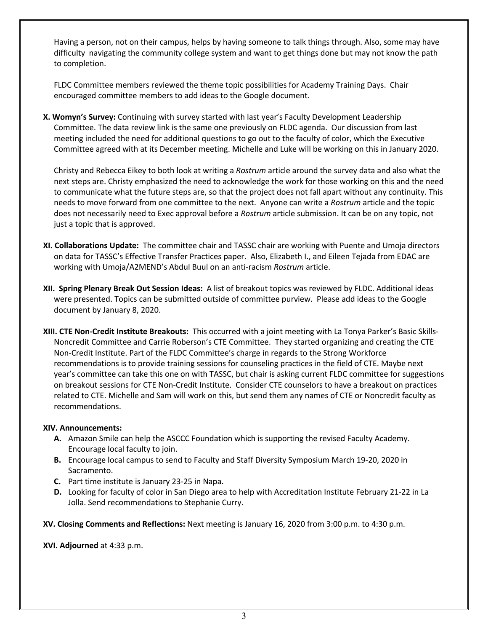Having a person, not on their campus, helps by having someone to talk things through. Also, some may have difficulty navigating the community college system and want to get things done but may not know the path to completion.

FLDC Committee members reviewed the theme topic possibilities for Academy Training Days. Chair encouraged committee members to add ideas to the Google document.

**X. Womyn's Survey:** Continuing with survey started with last year's Faculty Development Leadership Committee. The data review link is the same one previously on FLDC agenda. Our discussion from last meeting included the need for additional questions to go out to the faculty of color, which the Executive Committee agreed with at its December meeting. Michelle and Luke will be working on this in January 2020.

Christy and Rebecca Eikey to both look at writing a *Rostrum* article around the survey data and also what the next steps are. Christy emphasized the need to acknowledge the work for those working on this and the need to communicate what the future steps are, so that the project does not fall apart without any continuity. This needs to move forward from one committee to the next. Anyone can write a *Rostrum* article and the topic does not necessarily need to Exec approval before a *Rostrum* article submission. It can be on any topic, not just a topic that is approved.

- **XI. Collaborations Update:** The committee chair and TASSC chair are working with Puente and Umoja directors on data for TASSC's Effective Transfer Practices paper. Also, Elizabeth I., and Eileen Tejada from EDAC are working with Umoja/A2MEND's Abdul Buul on an anti-racism *Rostrum* article.
- **XII. Spring Plenary Break Out Session Ideas:** A list of breakout topics was reviewed by FLDC. Additional ideas were presented. Topics can be submitted outside of committee purview. Please add ideas to the Google document by January 8, 2020.
- **XIII. CTE Non-Credit Institute Breakouts:** This occurred with a joint meeting with La Tonya Parker's Basic Skills-Noncredit Committee and Carrie Roberson's CTE Committee. They started organizing and creating the CTE Non-Credit Institute. Part of the FLDC Committee's charge in regards to the Strong Workforce recommendations is to provide training sessions for counseling practices in the field of CTE. Maybe next year's committee can take this one on with TASSC, but chair is asking current FLDC committee for suggestions on breakout sessions for CTE Non-Credit Institute. Consider CTE counselors to have a breakout on practices related to CTE. Michelle and Sam will work on this, but send them any names of CTE or Noncredit faculty as recommendations.

#### **XIV. Announcements:**

- **A.** Amazon Smile can help the ASCCC Foundation which is supporting the revised Faculty Academy. Encourage local faculty to join.
- **B.** Encourage local campus to send to Faculty and Staff Diversity Symposium March 19-20, 2020 in Sacramento.
- **C.** Part time institute is January 23-25 in Napa.
- **D.** Looking for faculty of color in San Diego area to help with Accreditation Institute February 21-22 in La Jolla. Send recommendations to Stephanie Curry.

**XV. Closing Comments and Reflections:** Next meeting is January 16, 2020 from 3:00 p.m. to 4:30 p.m.

**XVI. Adjourned** at 4:33 p.m.